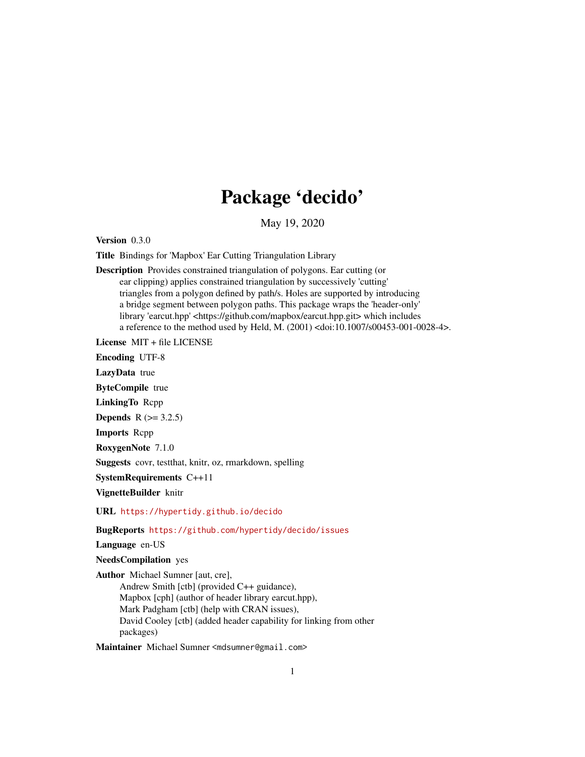## Package 'decido'

May 19, 2020

<span id="page-0-0"></span>Version 0.3.0

Title Bindings for 'Mapbox' Ear Cutting Triangulation Library

Description Provides constrained triangulation of polygons. Ear cutting (or ear clipping) applies constrained triangulation by successively 'cutting' triangles from a polygon defined by path/s. Holes are supported by introducing a bridge segment between polygon paths. This package wraps the 'header-only' library 'earcut.hpp' <https://github.com/mapbox/earcut.hpp.git> which includes a reference to the method used by Held, M. (2001) <doi:10.1007/s00453-001-0028-4>.

License MIT + file LICENSE

Encoding UTF-8

LazyData true

ByteCompile true

LinkingTo Rcpp

**Depends** R  $(>= 3.2.5)$ 

Imports Rcpp

RoxygenNote 7.1.0

Suggests covr, testthat, knitr, oz, rmarkdown, spelling

SystemRequirements C++11

VignetteBuilder knitr

URL <https://hypertidy.github.io/decido>

#### BugReports <https://github.com/hypertidy/decido/issues>

Language en-US

NeedsCompilation yes

Author Michael Sumner [aut, cre], Andrew Smith [ctb] (provided C++ guidance), Mapbox [cph] (author of header library earcut.hpp), Mark Padgham [ctb] (help with CRAN issues), David Cooley [ctb] (added header capability for linking from other packages)

Maintainer Michael Sumner <mdsumner@gmail.com>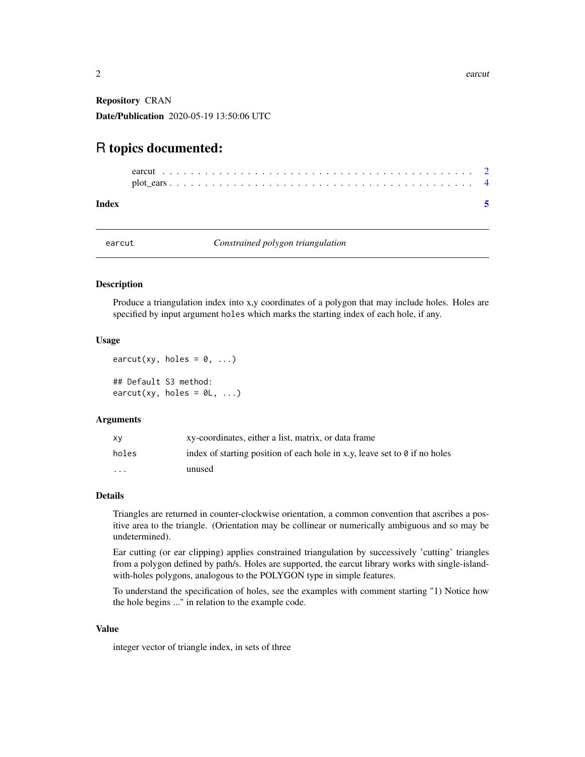<span id="page-1-0"></span>Repository CRAN Date/Publication 2020-05-19 13:50:06 UTC

### R topics documented:

| $plot\_ears \ldots \ldots \ldots \ldots \ldots \ldots \ldots \ldots \ldots \ldots \ldots \ldots \ldots$ |  |  |  |  |  |  |  |  |  |  |  |  |  |  |  |  |
|---------------------------------------------------------------------------------------------------------|--|--|--|--|--|--|--|--|--|--|--|--|--|--|--|--|
|                                                                                                         |  |  |  |  |  |  |  |  |  |  |  |  |  |  |  |  |

#### **Index** [5](#page-4-0). The second state of the second state of the second state of the second state of the second state of the second state of the second state of the second state of the second state of the second state of the second

<span id="page-1-1"></span>

earcut *Constrained polygon triangulation*

#### Description

Produce a triangulation index into x,y coordinates of a polygon that may include holes. Holes are specified by input argument holes which marks the starting index of each hole, if any.

#### Usage

```
earcut(xy, holes = 0, ...)
## Default S3 method:
\text{earcut}(xy, \text{ holes} = \emptyset \mathsf{L}, \ldots)
```
#### Arguments

| <b>XV</b> | xy-coordinates, either a list, matrix, or data frame                              |
|-----------|-----------------------------------------------------------------------------------|
| holes     | index of starting position of each hole in x,y, leave set to $\theta$ if no holes |
| .         | unused                                                                            |

#### Details

Triangles are returned in counter-clockwise orientation, a common convention that ascribes a positive area to the triangle. (Orientation may be collinear or numerically ambiguous and so may be undetermined).

Ear cutting (or ear clipping) applies constrained triangulation by successively 'cutting' triangles from a polygon defined by path/s. Holes are supported, the earcut library works with single-islandwith-holes polygons, analogous to the POLYGON type in simple features.

To understand the specification of holes, see the examples with comment starting "1) Notice how the hole begins ..." in relation to the example code.

#### Value

integer vector of triangle index, in sets of three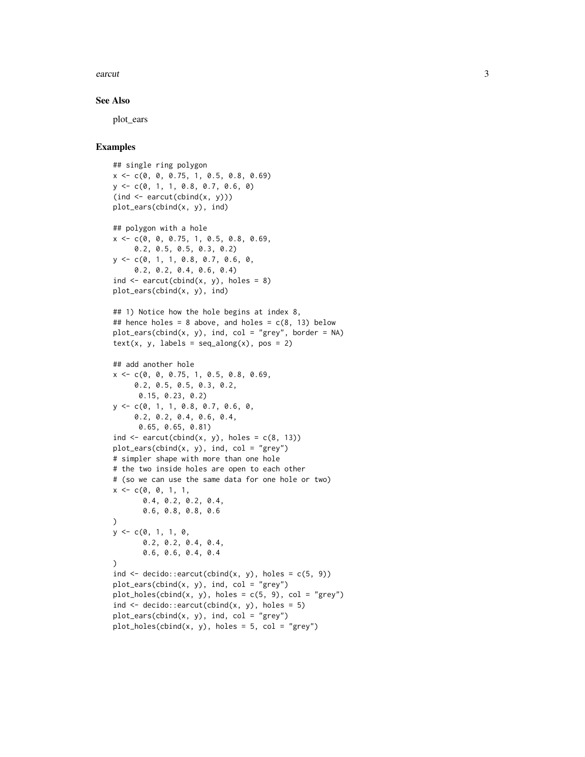#### earcut 3

#### See Also

plot\_ears

#### Examples

```
## single ring polygon
x <- c(0, 0, 0.75, 1, 0.5, 0.8, 0.69)
y <- c(0, 1, 1, 0.8, 0.7, 0.6, 0)
(ind \leq \text{earcut}(\text{cbind}(x, y)))plot_ears(cbind(x, y), ind)
## polygon with a hole
x <- c(0, 0, 0.75, 1, 0.5, 0.8, 0.69,
     0.2, 0.5, 0.5, 0.3, 0.2)
y <- c(0, 1, 1, 0.8, 0.7, 0.6, 0,
     0.2, 0.2, 0.4, 0.6, 0.4)
ind \leq earcut(cbind(x, y), holes = 8)
plot_ears(cbind(x, y), ind)
## 1) Notice how the hole begins at index 8,
## hence holes = 8 above, and holes = c(8, 13) below
plot\_ears(cbind(x, y), ind, col = "grey", border = NA)text(x, y, labels = seq_along(x), pos = 2)## add another hole
x <- c(0, 0, 0.75, 1, 0.5, 0.8, 0.69,
     0.2, 0.5, 0.5, 0.3, 0.2,
      0.15, 0.23, 0.2)
y <- c(0, 1, 1, 0.8, 0.7, 0.6, 0,
     0.2, 0.2, 0.4, 0.6, 0.4,
      0.65, 0.65, 0.81)
ind \leq earcut(cbind(x, y), holes = c(8, 13))
plot\_ears(cbind(x, y), ind, col = "grey")# simpler shape with more than one hole
# the two inside holes are open to each other
# (so we can use the same data for one hole or two)
x \leq -c(0, 0, 1, 1)0.4, 0.2, 0.2, 0.4,
       0.6, 0.8, 0.8, 0.6
)
y \leq -c(0, 1, 1, 0,0.2, 0.2, 0.4, 0.4,
       0.6, 0.6, 0.4, 0.4
\lambdaind \leq decido::earcut(cbind(x, y), holes = c(5, 9))
plot\_ears(cbind(x, y), ind, col = "grey")plot\_holes(cbind(x, y), holes = c(5, 9), col = "grey")ind \leq decido::earcut(cbind(x, y), holes = 5)
plot\_ears(cbind(x, y), ind, col = "grey")plot\_holes(cbind(x, y), holes = 5, col = "grey")
```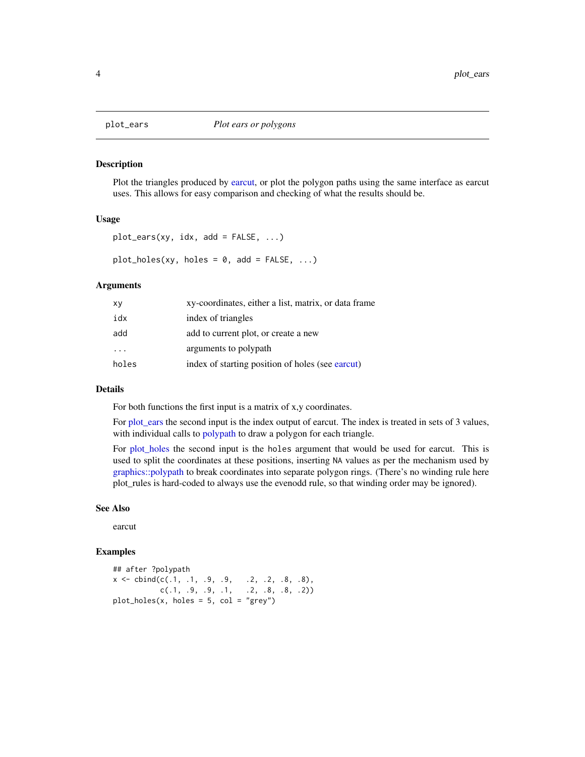<span id="page-3-1"></span><span id="page-3-0"></span>

#### <span id="page-3-2"></span>Description

Plot the triangles produced by [earcut,](#page-1-1) or plot the polygon paths using the same interface as earcut uses. This allows for easy comparison and checking of what the results should be.

#### Usage

```
plot\_ears(xy, idx, add = FALSE, ...)plot\_holes(xy, holes = 0, add = FALSE, ...)
```
#### Arguments

| хy       | xy-coordinates, either a list, matrix, or data frame |
|----------|------------------------------------------------------|
| idx      | index of triangles                                   |
| add      | add to current plot, or create a new                 |
| $\cdots$ | arguments to polypath                                |
| holes    | index of starting position of holes (see earcut)     |

#### Details

For both functions the first input is a matrix of x,y coordinates.

For [plot\\_ears](#page-3-1) the second input is the index output of earcut. The index is treated in sets of 3 values, with individual calls to [polypath](#page-0-0) to draw a polygon for each triangle.

For [plot\\_holes](#page-3-2) the second input is the holes argument that would be used for earcut. This is used to split the coordinates at these positions, inserting NA values as per the mechanism used by [graphics::polypath](#page-0-0) to break coordinates into separate polygon rings. (There's no winding rule here plot\_rules is hard-coded to always use the evenodd rule, so that winding order may be ignored).

#### See Also

earcut

#### Examples

## after ?polypath  $x \le - \text{cbind}(c(.1, .1, .9, .9, .2, .2, .8, .8))$  $c(.1, .9, .9, .1, .2, .8, .8, .2))$  $plot\_holes(x, holes = 5, col = "grey")$